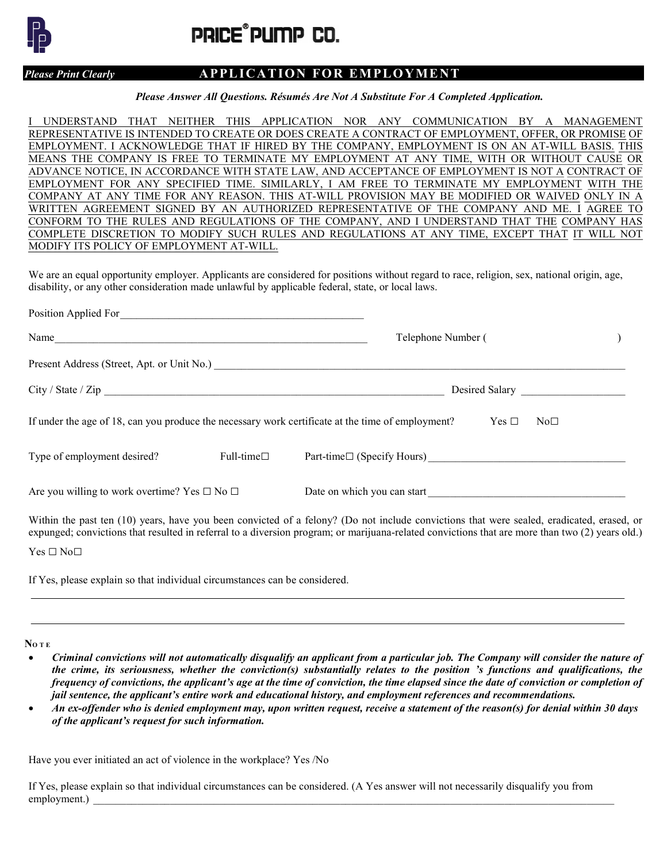

PRICE®PUMP CO.

## Please Print Clearly **APPLICATION FOR EMPLOYMENT**

Please Answer All Questions. Résumés Are Not A Substitute For A Completed Application.

I UNDERSTAND THAT NEITHER THIS APPLICATION NOR ANY COMMUNICATION BY A MANAGEMENT REPRESENTATIVE IS INTENDED TO CREATE OR DOES CREATE A CONTRACT OF EMPLOYMENT, OFFER, OR PROMISE OF EMPLOYMENT. I ACKNOWLEDGE THAT IF HIRED BY THE COMPANY, EMPLOYMENT IS ON AN AT-WILL BASIS. THIS MEANS THE COMPANY IS FREE TO TERMINATE MY EMPLOYMENT AT ANY TIME, WITH OR WITHOUT CAUSE OR ADVANCE NOTICE, IN ACCORDANCE WITH STATE LAW, AND ACCEPTANCE OF EMPLOYMENT IS NOT A CONTRACT OF EMPLOYMENT FOR ANY SPECIFIED TIME. SIMILARLY, I AM FREE TO TERMINATE MY EMPLOYMENT WITH THE COMPANY AT ANY TIME FOR ANY REASON. THIS AT-WILL PROVISION MAY BE MODIFIED OR WAIVED ONLY IN A WRITTEN AGREEMENT SIGNED BY AN AUTHORIZED REPRESENTATIVE OF THE COMPANY AND ME. I AGREE TO CONFORM TO THE RULES AND REGULATIONS OF THE COMPANY, AND I UNDERSTAND THAT THE COMPANY HAS COMPLETE DISCRETION TO MODIFY SUCH RULES AND REGULATIONS AT ANY TIME, EXCEPT THAT IT WILL NOT MODIFY ITS POLICY OF EMPLOYMENT AT-WILL.

We are an equal opportunity employer. Applicants are considered for positions without regard to race, religion, sex, national origin, age, disability, or any other consideration made unlawful by applicable federal, state, or local laws.

| Position Applied For                                         |                     |                                                                                                                                           |
|--------------------------------------------------------------|---------------------|-------------------------------------------------------------------------------------------------------------------------------------------|
| Name                                                         |                     | Telephone Number (                                                                                                                        |
|                                                              |                     |                                                                                                                                           |
|                                                              |                     |                                                                                                                                           |
|                                                              |                     | If under the age of 18, can you produce the necessary work certificate at the time of employment?<br>Yes $\Box$<br>No <sub>□</sub>        |
| Type of employment desired?                                  | Full-time $\square$ |                                                                                                                                           |
| Are you willing to work overtime? Yes $\square$ No $\square$ |                     | Date on which you can start                                                                                                               |
|                                                              |                     | Within the past ten (10) years, have you been convicted of a felony? (Do not include convictions that were sealed, eradicated, erased, or |

expunged; convictions that resulted in referral to a diversion program; or marijuana-related convictions that are more than two (2) years old.) Yes □ No□

If Yes, please explain so that individual circumstances can be considered.

NO T E

- Criminal convictions will not automatically disqualify an applicant from a particular job. The Company will consider the nature of the crime, its seriousness, whether the conviction(s) substantially relates to the position 's functions and qualifications, the frequency of convictions, the applicant's age at the time of conviction, the time elapsed since the date of conviction or completion of jail sentence, the applicant's entire work and educational history, and employment references and recommendations.
- An ex-offender who is denied employment may, upon written request, receive a statement of the reason(s) for denial within 30 days of the applicant's request for such information.

Have you ever initiated an act of violence in the workplace? Yes /No

If Yes, please explain so that individual circumstances can be considered. (A Yes answer will not necessarily disqualify you from employment.)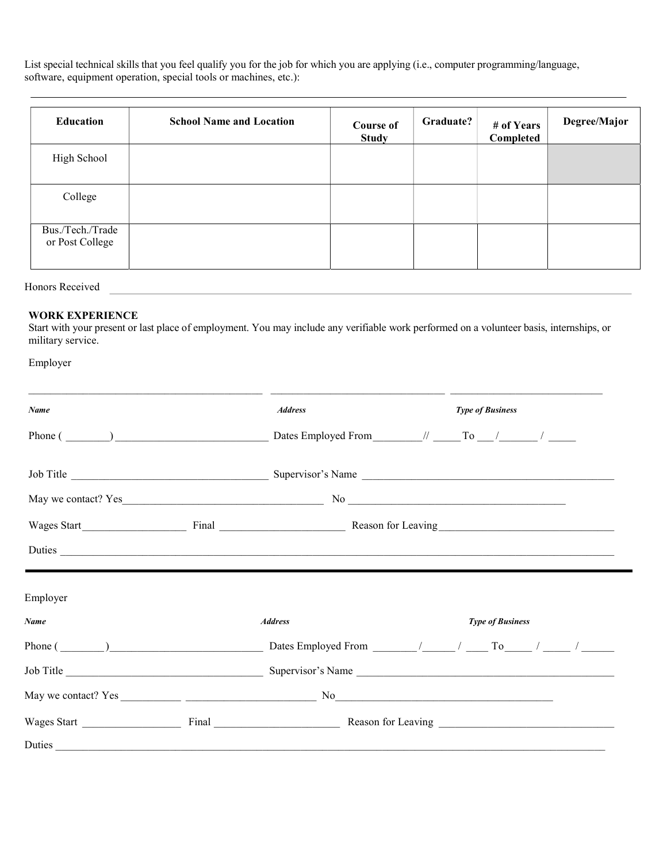List special technical skills that you feel qualify you for the job for which you are applying (i.e., computer programming/language, software, equipment operation, special tools or machines, etc.):

| Education                           | <b>School Name and Location</b> | <b>Course of</b><br><b>Study</b> | Graduate? | # of Years<br>Completed | Degree/Major |
|-------------------------------------|---------------------------------|----------------------------------|-----------|-------------------------|--------------|
| High School                         |                                 |                                  |           |                         |              |
| College                             |                                 |                                  |           |                         |              |
| Bus./Tech./Trade<br>or Post College |                                 |                                  |           |                         |              |

Honors Received

## WORK EXPERIENCE

Start with your present or last place of employment. You may include any verifiable work performed on a volunteer basis, internships, or military service.

| Employer    |                |                                                                                                                                                                                                                                      |  |                         |                         |  |  |
|-------------|----------------|--------------------------------------------------------------------------------------------------------------------------------------------------------------------------------------------------------------------------------------|--|-------------------------|-------------------------|--|--|
| Name        |                | <b>Address</b>                                                                                                                                                                                                                       |  |                         | <b>Type of Business</b> |  |  |
|             |                |                                                                                                                                                                                                                                      |  |                         |                         |  |  |
|             |                |                                                                                                                                                                                                                                      |  |                         |                         |  |  |
|             |                |                                                                                                                                                                                                                                      |  |                         |                         |  |  |
|             |                |                                                                                                                                                                                                                                      |  |                         |                         |  |  |
|             |                | Duties <u>and the second contract of the second contract of the second contract of the second contract of the second contract of the second contract of the second contract of the second contract of the second contract of the</u> |  |                         |                         |  |  |
| Employer    |                |                                                                                                                                                                                                                                      |  |                         |                         |  |  |
| <b>Name</b> | <b>Address</b> |                                                                                                                                                                                                                                      |  | <b>Type of Business</b> |                         |  |  |
|             |                | Phone $(\_\_\_\_\_)$ $(\_\_\_\_\_)$ Dates Employed From $\_\_\_\_/$ $(\_\_\_\_$ To $\_\_\_/$ $(\_\_\_\_)$                                                                                                                            |  |                         |                         |  |  |
|             |                |                                                                                                                                                                                                                                      |  |                         |                         |  |  |
|             |                |                                                                                                                                                                                                                                      |  |                         |                         |  |  |
|             |                |                                                                                                                                                                                                                                      |  |                         |                         |  |  |
|             |                |                                                                                                                                                                                                                                      |  |                         |                         |  |  |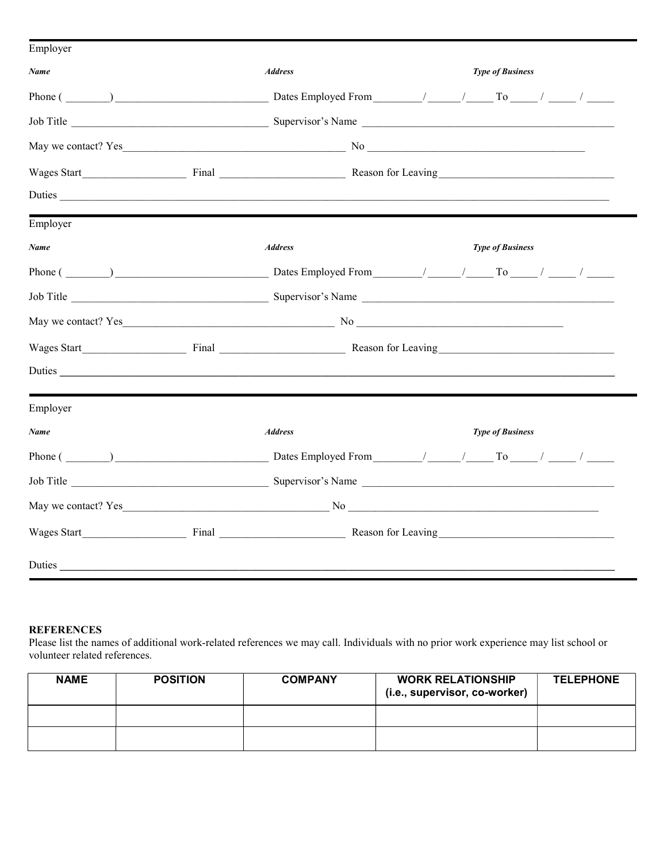| <b>Address</b> | <b>Type of Business</b>                                                                                        |
|----------------|----------------------------------------------------------------------------------------------------------------|
|                |                                                                                                                |
|                |                                                                                                                |
|                |                                                                                                                |
|                |                                                                                                                |
|                | Duties                                                                                                         |
|                |                                                                                                                |
| <b>Address</b> | <b>Type of Business</b>                                                                                        |
|                |                                                                                                                |
|                |                                                                                                                |
|                |                                                                                                                |
|                | Wages Start Final Final Reason for Leaving                                                                     |
|                | Duties                                                                                                         |
|                |                                                                                                                |
| <b>Address</b> | <b>Type of Business</b>                                                                                        |
|                | Phone $(\_\_\_\_\)$ $\_\_\_\_\_\_$ Dates Employed From $\_\_\_\_\_$ / $\_\_\_\_\_$ To $\_\_\_\_$ / $\_\_\_\_$  |
|                | Job Title Supervisor's Name Supervisor's Name Supervisor's Name Supervisor's Name Supervisor's Name Supervisor |
|                |                                                                                                                |
|                |                                                                                                                |
|                |                                                                                                                |
|                | Duties                                                                                                         |

## **REFERENCES**

Please list the names of additional work-related references we may call. Individuals with no prior work experience may list school or volunteer related references.

| <b>NAME</b> | <b>POSITION</b> | <b>COMPANY</b> | <b>WORK RELATIONSHIP</b><br>(i.e., supervisor, co-worker) | <b>TELEPHONE</b> |
|-------------|-----------------|----------------|-----------------------------------------------------------|------------------|
|             |                 |                |                                                           |                  |
|             |                 |                |                                                           |                  |